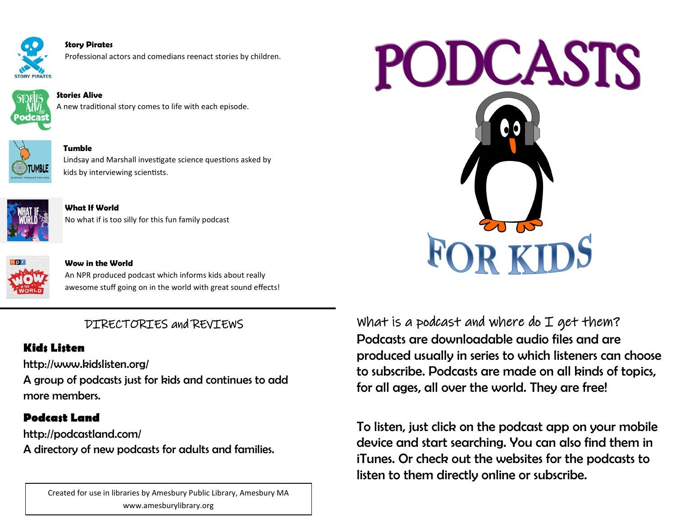

**Story Pirates** Professional actors and comedians reenact stories by children.



**Stories Alive** A new traditional story comes to life with each episode.



**Tumble** Lindsay and Marshall investigate science questions asked by kids by interviewing scientists.



**What If World** No what if is too silly for this fun family podcast



#### **Wow in the World**

An NPR produced podcast which informs kids about really awesome stuff going on in the world with great sound effects!

# DIRECTORIES and REVIEWS

### **Kids Listen**

http://www.kidslisten.org/

A group of podcasts just for kids and continues to add more members.

## **Podcast Land**

http://podcastland.com/ A directory of new podcasts for adults and families.

> Created for use in libraries by Amesbury Public Library, Amesbury MA www.amesburylibrary.org



What is a podcast and where do  $I$  get them? Podcasts are downloadable audio files and are produced usually in series to which listeners can choose to subscribe. Podcasts are made on all kinds of topics, for all ages, all over the world. They are free!

To listen, just click on the podcast app on your mobile device and start searching. You can also find them in iTunes. Or check out the websites for the podcasts to listen to them directly online or subscribe.